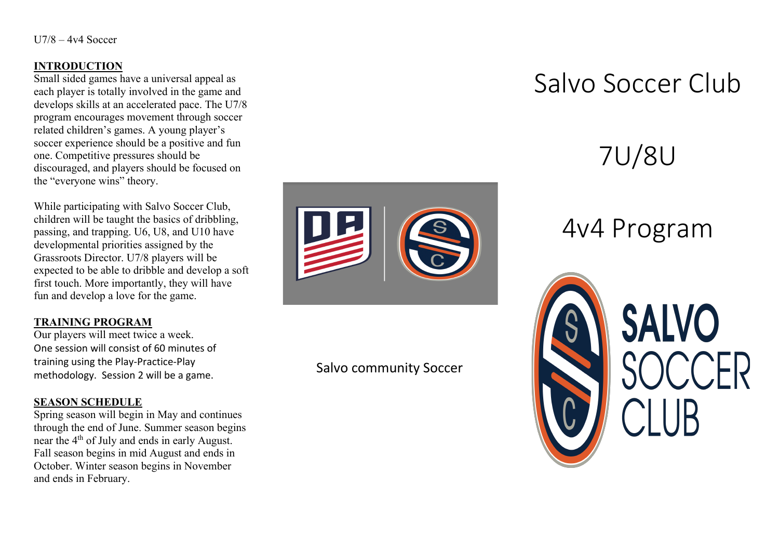#### **INTRODUCTION**

Small sided games have a universal appeal as each player is totally involved in the game and develops skills at an accelerated pace. The U7/8 program encourages movement through soccer related children's games. A young player's soccer experience should be a positive and fun one. Competitive pressures should be discouraged, and players should be focused on the "everyone wins" theory.

While participating with Salvo Soccer Club, children will be taught the basics of dribbling, passing, and trapping. U6, U8, and U10 have developmental priorities assigned by the Grassroots Director. U7/8 players will be expected to be able to dribble and develop a soft first touch. More importantly, they will have fun and develop a love for the game.

### **TRAINING PROGRAM**

Our players will meet twice a week. One session will consist of 60 minutes of training using the Play-Practice-Play methodology. Session 2 will be a game.

#### **SEASON SCHEDULE**

Spring season will begin in May and continues through the end of June. Summer season begins near the 4<sup>th</sup> of July and ends in early August. Fall season begins in mid August and ends in October. Winter season begins in November and ends in February.



## Salvo community Soccer

## Salvo Soccer Club

# 7U/8U

## 4v4 Program